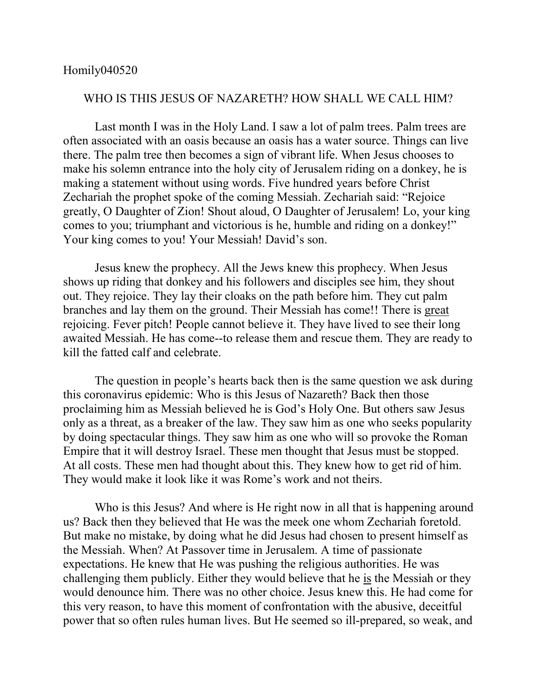## Homily040520

## WHO IS THIS JESUS OF NAZARETH? HOW SHALL WE CALL HIM?

Last month I was in the Holy Land. I saw a lot of palm trees. Palm trees are often associated with an oasis because an oasis has a water source. Things can live there. The palm tree then becomes a sign of vibrant life. When Jesus chooses to make his solemn entrance into the holy city of Jerusalem riding on a donkey, he is making a statement without using words. Five hundred years before Christ Zechariah the prophet spoke of the coming Messiah. Zechariah said: "Rejoice greatly, O Daughter of Zion! Shout aloud, O Daughter of Jerusalem! Lo, your king comes to you; triumphant and victorious is he, humble and riding on a donkey!" Your king comes to you! Your Messiah! David's son.

Jesus knew the prophecy. All the Jews knew this prophecy. When Jesus shows up riding that donkey and his followers and disciples see him, they shout out. They rejoice. They lay their cloaks on the path before him. They cut palm branches and lay them on the ground. Their Messiah has come!! There is great rejoicing. Fever pitch! People cannot believe it. They have lived to see their long awaited Messiah. He has come--to release them and rescue them. They are ready to kill the fatted calf and celebrate.

The question in people's hearts back then is the same question we ask during this coronavirus epidemic: Who is this Jesus of Nazareth? Back then those proclaiming him as Messiah believed he is God's Holy One. But others saw Jesus only as a threat, as a breaker of the law. They saw him as one who seeks popularity by doing spectacular things. They saw him as one who will so provoke the Roman Empire that it will destroy Israel. These men thought that Jesus must be stopped. At all costs. These men had thought about this. They knew how to get rid of him. They would make it look like it was Rome's work and not theirs.

Who is this Jesus? And where is He right now in all that is happening around us? Back then they believed that He was the meek one whom Zechariah foretold. But make no mistake, by doing what he did Jesus had chosen to present himself as the Messiah. When? At Passover time in Jerusalem. A time of passionate expectations. He knew that He was pushing the religious authorities. He was challenging them publicly. Either they would believe that he is the Messiah or they would denounce him. There was no other choice. Jesus knew this. He had come for this very reason, to have this moment of confrontation with the abusive, deceitful power that so often rules human lives. But He seemed so ill-prepared, so weak, and